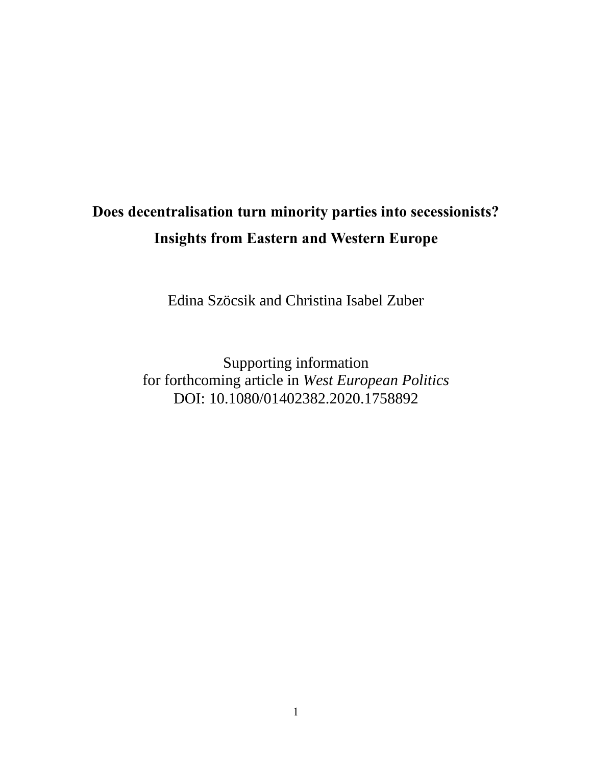# **Does decentralisation turn minority parties into secessionists? Insights from Eastern and Western Europe**

Edina Szöcsik and Christina Isabel Zuber

Supporting information for forthcoming article in *West European Politics* DOI: 10.1080/01402382.2020.1758892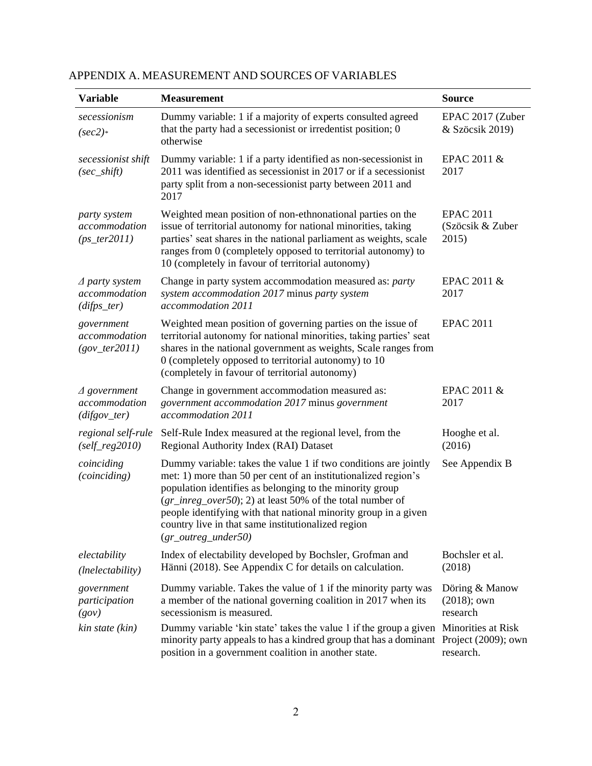| <b>Variable</b>                                            | <b>Measurement</b>                                                                                                                                                                                                                                                                                                                                                                                                  | <b>Source</b>                                          |
|------------------------------------------------------------|---------------------------------------------------------------------------------------------------------------------------------------------------------------------------------------------------------------------------------------------------------------------------------------------------------------------------------------------------------------------------------------------------------------------|--------------------------------------------------------|
| secessionism<br>$(sec2)$ *                                 | Dummy variable: 1 if a majority of experts consulted agreed<br>that the party had a secessionist or irredentist position; 0<br>otherwise                                                                                                                                                                                                                                                                            | EPAC 2017 (Zuber<br>& Szöcsik 2019)                    |
| secessionist shift<br>$(sec\_shift)$                       | Dummy variable: 1 if a party identified as non-secessionist in<br>2011 was identified as secessionist in 2017 or if a secessionist<br>party split from a non-secessionist party between 2011 and<br>2017                                                                                                                                                                                                            | EPAC 2011 &<br>2017                                    |
| party system<br>accommodation<br>$(ps_{\text{r}}ter2011)$  | Weighted mean position of non-ethnonational parties on the<br>issue of territorial autonomy for national minorities, taking<br>parties' seat shares in the national parliament as weights, scale<br>ranges from 0 (completely opposed to territorial autonomy) to<br>10 (completely in favour of territorial autonomy)                                                                                              | <b>EPAC 2011</b><br>(Szöcsik & Zuber<br>2015)          |
| $\triangle$ party system<br>accommodation<br>$(dips\_ter)$ | Change in party system accommodation measured as: party<br>system accommodation 2017 minus party system<br>accommodation 2011                                                                                                                                                                                                                                                                                       | EPAC 2011 &<br>2017                                    |
| government<br>accommodation<br>$(gov_{\text{r}}ter2011)$   | Weighted mean position of governing parties on the issue of<br>territorial autonomy for national minorities, taking parties' seat<br>shares in the national government as weights, Scale ranges from<br>0 (completely opposed to territorial autonomy) to 10<br>(completely in favour of territorial autonomy)                                                                                                      | <b>EPAC 2011</b>                                       |
| $\triangle$ government<br>accommodation<br>$(difgov_ter)$  | Change in government accommodation measured as:<br>government accommodation 2017 minus government<br>accommodation 2011                                                                                                                                                                                                                                                                                             | EPAC 2011 &<br>2017                                    |
| regional self-rule<br>$(self\_reg2010)$                    | Self-Rule Index measured at the regional level, from the<br>Regional Authority Index (RAI) Dataset                                                                                                                                                                                                                                                                                                                  | Hooghe et al.<br>(2016)                                |
| coinciding<br>(coinciding)                                 | Dummy variable: takes the value 1 if two conditions are jointly<br>met: 1) more than 50 per cent of an institutionalized region's<br>population identifies as belonging to the minority group<br>$(gr\_inreg\_over50)$ ; 2) at least 50% of the total number of<br>people identifying with that national minority group in a given<br>country live in that same institutionalized region<br>$(gr\_outreg\_under50)$ | See Appendix B                                         |
| electability<br>(lnelectability)                           | Index of electability developed by Bochsler, Grofman and<br>Hänni (2018). See Appendix C for details on calculation.                                                                                                                                                                                                                                                                                                | Bochsler et al.<br>(2018)                              |
| government<br>participation<br>(gov)                       | Dummy variable. Takes the value of 1 if the minority party was<br>a member of the national governing coalition in 2017 when its<br>secessionism is measured.                                                                                                                                                                                                                                                        | Döring & Manow<br>$(2018)$ ; own<br>research           |
| kin state (kin)                                            | Dummy variable 'kin state' takes the value 1 if the group a given<br>minority party appeals to has a kindred group that has a dominant<br>position in a government coalition in another state.                                                                                                                                                                                                                      | Minorities at Risk<br>Project (2009); own<br>research. |

## APPENDIX A. MEASUREMENT AND SOURCES OF VARIABLES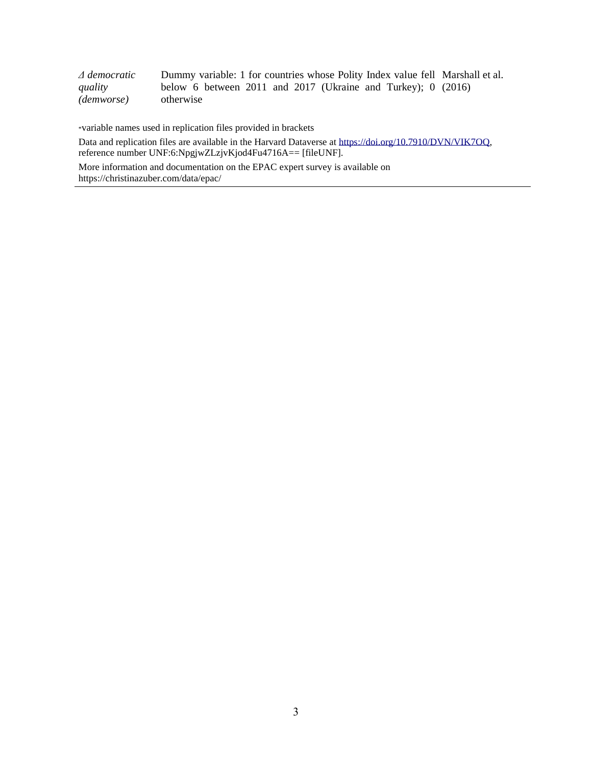| $\varDelta$ democratic | Dummy variable: 1 for countries whose Polity Index value fell Marshall et al. |
|------------------------|-------------------------------------------------------------------------------|
| quality                | below 6 between 2011 and 2017 (Ukraine and Turkey); $0$ (2016)                |
| (demworse)             | otherwise                                                                     |

\*variable names used in replication files provided in brackets

Data and replication files are available in the Harvard Dataverse a[t https://doi.org/10.7910/DVN/VIK7OQ,](https://doi.org/10.7910/DVN/VIK7OQ) reference number UNF:6:NpgjwZLzjvKjod4Fu4716A== [fileUNF].

More information and documentation on the EPAC expert survey is available on https://christinazuber.com/data/epac/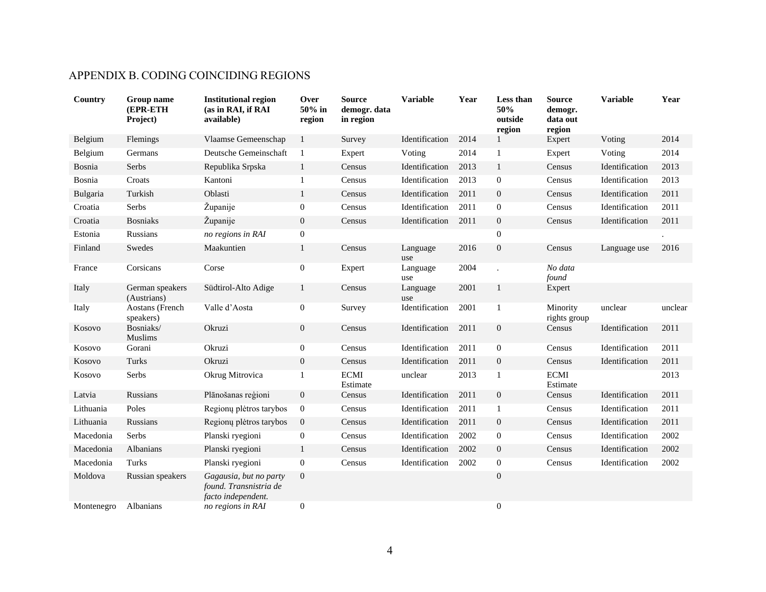## APPENDIX B. CODING COINCIDING REGIONS

| Country    | Group name<br>(EPR-ETH<br>Project) | <b>Institutional region</b><br>(as in RAI, if RAI<br>available)        | Over<br>50% in<br>region | <b>Source</b><br>demogr. data<br>in region | <b>Variable</b> | Year | Less than<br>50%<br>outside<br>region | <b>Source</b><br>demogr.<br>data out<br>region | <b>Variable</b> | Year    |
|------------|------------------------------------|------------------------------------------------------------------------|--------------------------|--------------------------------------------|-----------------|------|---------------------------------------|------------------------------------------------|-----------------|---------|
| Belgium    | Flemings                           | Vlaamse Gemeenschap                                                    | $\mathbf{1}$             | Survey                                     | Identification  | 2014 | 1                                     | Expert                                         | Voting          | 2014    |
| Belgium    | Germans                            | Deutsche Gemeinschaft                                                  | $\mathbf{1}$             | Expert                                     | Voting          | 2014 | $\mathbf{1}$                          | Expert                                         | Voting          | 2014    |
| Bosnia     | Serbs                              | Republika Srpska                                                       | $\mathbf{1}$             | Census                                     | Identification  | 2013 | $\mathbf{1}$                          | Census                                         | Identification  | 2013    |
| Bosnia     | Croats                             | Kantoni                                                                | 1                        | Census                                     | Identification  | 2013 | $\mathbf{0}$                          | Census                                         | Identification  | 2013    |
| Bulgaria   | Turkish                            | Oblasti                                                                | $\mathbf{1}$             | Census                                     | Identification  | 2011 | $\boldsymbol{0}$                      | Census                                         | Identification  | 2011    |
| Croatia    | Serbs                              | Županije                                                               | $\boldsymbol{0}$         | Census                                     | Identification  | 2011 | $\boldsymbol{0}$                      | Census                                         | Identification  | 2011    |
| Croatia    | <b>Bosniaks</b>                    | Županije                                                               | 0                        | Census                                     | Identification  | 2011 | $\mathbf{0}$                          | Census                                         | Identification  | 2011    |
| Estonia    | Russians                           | no regions in RAI                                                      | $\overline{0}$           |                                            |                 |      | $\boldsymbol{0}$                      |                                                |                 |         |
| Finland    | Swedes                             | Maakuntien                                                             | $\mathbf{1}$             | Census                                     | Language<br>use | 2016 | $\boldsymbol{0}$                      | Census                                         | Language use    | 2016    |
| France     | Corsicans                          | Corse                                                                  | $\overline{0}$           | Expert                                     | Language<br>use | 2004 |                                       | No data<br>found                               |                 |         |
| Italy      | German speakers<br>(Austrians)     | Südtirol-Alto Adige                                                    | $\mathbf{1}$             | Census                                     | Language<br>use | 2001 | $\mathbf{1}$                          | Expert                                         |                 |         |
| Italy      | Aostans (French<br>speakers)       | Valle d'Aosta                                                          | $\mathbf{0}$             | Survey                                     | Identification  | 2001 | $\mathbf{1}$                          | Minority<br>rights group                       | unclear         | unclear |
| Kosovo     | Bosniaks/<br>Muslims               | Okruzi                                                                 | $\boldsymbol{0}$         | Census                                     | Identification  | 2011 | $\boldsymbol{0}$                      | Census                                         | Identification  | 2011    |
| Kosovo     | Gorani                             | Okruzi                                                                 | $\overline{0}$           | Census                                     | Identification  | 2011 | $\boldsymbol{0}$                      | Census                                         | Identification  | 2011    |
| Kosovo     | Turks                              | Okruzi                                                                 | $\boldsymbol{0}$         | Census                                     | Identification  | 2011 | $\boldsymbol{0}$                      | Census                                         | Identification  | 2011    |
| Kosovo     | Serbs                              | Okrug Mitrovica                                                        | 1                        | <b>ECMI</b><br>Estimate                    | unclear         | 2013 | 1                                     | <b>ECMI</b><br>Estimate                        |                 | 2013    |
| Latvia     | Russians                           | Plānošanas reģioni                                                     | $\mathbf{0}$             | Census                                     | Identification  | 2011 | $\boldsymbol{0}$                      | Census                                         | Identification  | 2011    |
| Lithuania  | Poles                              | Regionų plėtros tarybos                                                | $\mathbf{0}$             | Census                                     | Identification  | 2011 | $\mathbf{1}$                          | Census                                         | Identification  | 2011    |
| Lithuania  | Russians                           | Regionų plėtros tarybos                                                | $\boldsymbol{0}$         | Census                                     | Identification  | 2011 | $\mathbf{0}$                          | Census                                         | Identification  | 2011    |
| Macedonia  | Serbs                              | Planski ryegioni                                                       | 0                        | Census                                     | Identification  | 2002 | $\boldsymbol{0}$                      | Census                                         | Identification  | 2002    |
| Macedonia  | Albanians                          | Planski ryegioni                                                       | $\mathbf{1}$             | Census                                     | Identification  | 2002 | $\mathbf{0}$                          | Census                                         | Identification  | 2002    |
| Macedonia  | Turks                              | Planski ryegioni                                                       | $\overline{0}$           | Census                                     | Identification  | 2002 | $\boldsymbol{0}$                      | Census                                         | Identification  | 2002    |
| Moldova    | Russian speakers                   | Gagausia, but no party<br>found. Transnistria de<br>facto independent. | $\boldsymbol{0}$         |                                            |                 |      | $\mathbf{0}$                          |                                                |                 |         |
| Montenegro | Albanians                          | no regions in RAI                                                      | $\boldsymbol{0}$         |                                            |                 |      | $\boldsymbol{0}$                      |                                                |                 |         |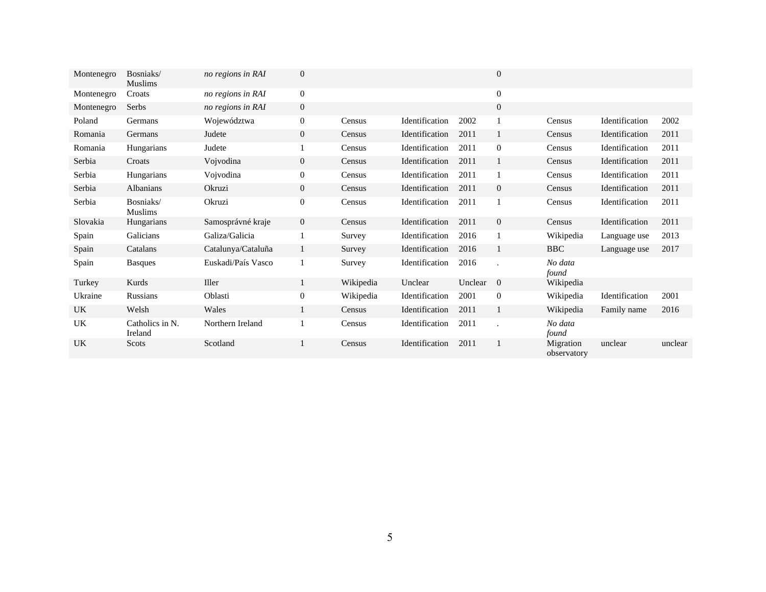| Montenegro | Bosniaks/<br><b>Muslims</b> | no regions in RAI  | $\overline{0}$ |           |                |         | $\mathbf{0}$   |                          |                |         |
|------------|-----------------------------|--------------------|----------------|-----------|----------------|---------|----------------|--------------------------|----------------|---------|
| Montenegro | Croats                      | no regions in RAI  | $\overline{0}$ |           |                |         | $\mathbf{0}$   |                          |                |         |
| Montenegro | Serbs                       | no regions in RAI  | $\overline{0}$ |           |                |         | $\mathbf{0}$   |                          |                |         |
| Poland     | Germans                     | Województwa        | 0              | Census    | Identification | 2002    | 1              | Census                   | Identification | 2002    |
| Romania    | Germans                     | Judete             | $\overline{0}$ | Census    | Identification | 2011    | 1              | Census                   | Identification | 2011    |
| Romania    | Hungarians                  | Judete             |                | Census    | Identification | 2011    | $\mathbf{0}$   | Census                   | Identification | 2011    |
| Serbia     | Croats                      | Vojvodina          | $\overline{0}$ | Census    | Identification | 2011    | 1              | Census                   | Identification | 2011    |
| Serbia     | Hungarians                  | Vojvodina          | 0              | Census    | Identification | 2011    |                | Census                   | Identification | 2011    |
| Serbia     | Albanians                   | Okruzi             | $\overline{0}$ | Census    | Identification | 2011    | $\overline{0}$ | Census                   | Identification | 2011    |
| Serbia     | Bosniaks/<br><b>Muslims</b> | Okruzi             | $\overline{0}$ | Census    | Identification | 2011    |                | Census                   | Identification | 2011    |
| Slovakia   | Hungarians                  | Samosprávné kraje  | $\overline{0}$ | Census    | Identification | 2011    | $\mathbf{0}$   | Census                   | Identification | 2011    |
| Spain      | Galicians                   | Galiza/Galicia     |                | Survey    | Identification | 2016    | 1              | Wikipedia                | Language use   | 2013    |
| Spain      | Catalans                    | Catalunya/Cataluña | 1              | Survey    | Identification | 2016    | $\mathbf{1}$   | <b>BBC</b>               | Language use   | 2017    |
| Spain      | <b>Basques</b>              | Euskadi/País Vasco |                | Survey    | Identification | 2016    |                | No data<br>found         |                |         |
| Turkey     | Kurds                       | Iller              | 1              | Wikipedia | Unclear        | Unclear | $\overline{0}$ | Wikipedia                |                |         |
| Ukraine    | Russians                    | Oblasti            | $\overline{0}$ | Wikipedia | Identification | 2001    | $\mathbf{0}$   | Wikipedia                | Identification | 2001    |
| UK         | Welsh                       | Wales              | 1              | Census    | Identification | 2011    | 1              | Wikipedia                | Family name    | 2016    |
| UK         | Catholics in N.<br>Ireland  | Northern Ireland   |                | Census    | Identification | 2011    |                | No data<br>found         |                |         |
| UK         | Scots                       | Scotland           |                | Census    | Identification | 2011    | $\mathbf{1}$   | Migration<br>observatory | unclear        | unclear |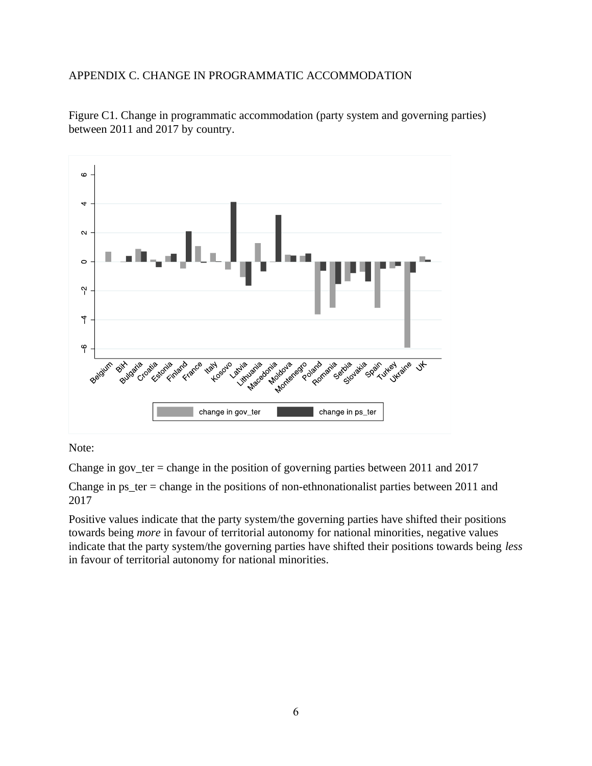#### APPENDIX C. CHANGE IN PROGRAMMATIC ACCOMMODATION



Figure C1. Change in programmatic accommodation (party system and governing parties) between 2011 and 2017 by country.

Note:

Change in gov\_ter = change in the position of governing parties between 2011 and 2017

Change in  $ps_{ter}$  = change in the positions of non-ethnonationalist parties between 2011 and 2017

Positive values indicate that the party system/the governing parties have shifted their positions towards being *more* in favour of territorial autonomy for national minorities, negative values indicate that the party system/the governing parties have shifted their positions towards being *less* in favour of territorial autonomy for national minorities.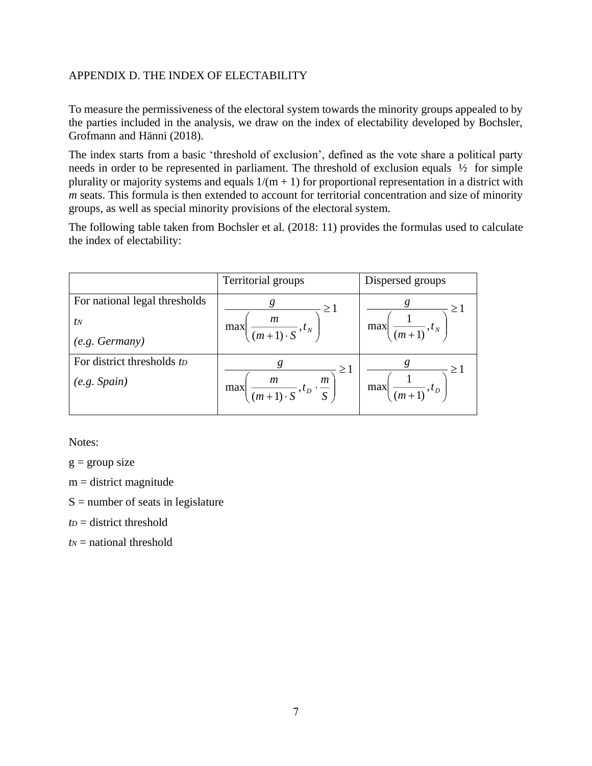#### APPENDIX D. THE INDEX OF ELECTABILITY

To measure the permissiveness of the electoral system towards the minority groups appealed to by the parties included in the analysis, we draw on the index of electability developed by Bochsler, Grofmann and Hänni (2018).

The index starts from a basic 'threshold of exclusion', defined as the vote share a political party needs in order to be represented in parliament. The threshold of exclusion equals ½ for simple plurality or majority systems and equals  $1/(m + 1)$  for proportional representation in a district with *m* seats. This formula is then extended to account for territorial concentration and size of minority groups, as well as special minority provisions of the electoral system.

The following table taken from Bochsler et al. (2018: 11) provides the formulas used to calculate the index of electability:

|                               | Territorial groups                                                                       | Dispersed groups                           |
|-------------------------------|------------------------------------------------------------------------------------------|--------------------------------------------|
| For national legal thresholds | g<br>$\geq$ 1                                                                            | $\geq 1$                                   |
| $t_N$                         | $\boldsymbol{m}$<br>max<br>$\sqrt{(m+1)\cdot S}$ , $t_N$                                 | max<br>$(m+1), t_N$                        |
| (e.g. <i>Germany</i> )        |                                                                                          |                                            |
| For district thresholds to    | $\geq 1$                                                                                 | $\geq$ 1                                   |
| (e.g. Spain)                  | $\boldsymbol{m}$<br>m<br>$\sqrt{\frac{m+1}{(m+1)\cdot S}}, t_D \cdot \frac{m}{S}$<br>max | max<br>$+(m+1)$ <sup>, t<sub>D</sub></sup> |
|                               |                                                                                          |                                            |

Notes:

 $g =$  group size

 $m =$  district magnitude

 $S =$  number of seats in legislature

 $tp =$  district threshold

*t<sup>N</sup>* = national threshold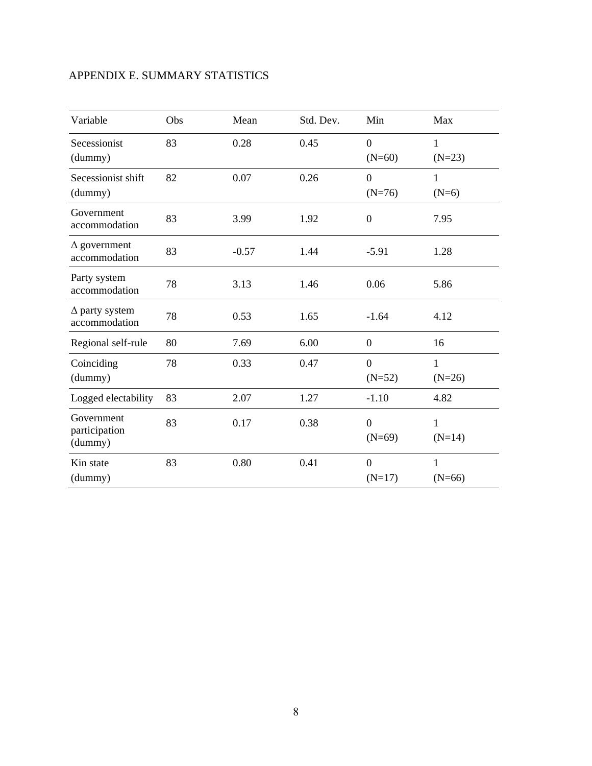## APPENDIX E. SUMMARY STATISTICS

| Variable                               | Obs | Mean    | Std. Dev. | Min                          | Max                      |
|----------------------------------------|-----|---------|-----------|------------------------------|--------------------------|
| Secessionist<br>(dummy)                | 83  | 0.28    | 0.45      | $\overline{0}$<br>$(N=60)$   | $\mathbf{1}$<br>$(N=23)$ |
| Secessionist shift<br>(dummy)          | 82  | 0.07    | 0.26      | $\boldsymbol{0}$<br>$(N=76)$ | 1<br>$(N=6)$             |
| Government<br>accommodation            | 83  | 3.99    | 1.92      | $\boldsymbol{0}$             | 7.95                     |
| $\Delta$ government<br>accommodation   | 83  | $-0.57$ | 1.44      | $-5.91$                      | 1.28                     |
| Party system<br>accommodation          | 78  | 3.13    | 1.46      | 0.06                         | 5.86                     |
| $\Delta$ party system<br>accommodation | 78  | 0.53    | 1.65      | $-1.64$                      | 4.12                     |
| Regional self-rule                     | 80  | 7.69    | 6.00      | $\boldsymbol{0}$             | 16                       |
| Coinciding<br>(dummy)                  | 78  | 0.33    | 0.47      | $\theta$<br>$(N=52)$         | 1<br>$(N=26)$            |
| Logged electability                    | 83  | 2.07    | 1.27      | $-1.10$                      | 4.82                     |
| Government<br>participation<br>(dummy) | 83  | 0.17    | 0.38      | $\overline{0}$<br>$(N=69)$   | 1<br>$(N=14)$            |
| Kin state<br>(dummy)                   | 83  | 0.80    | 0.41      | $\overline{0}$<br>$(N=17)$   | 1<br>$(N=66)$            |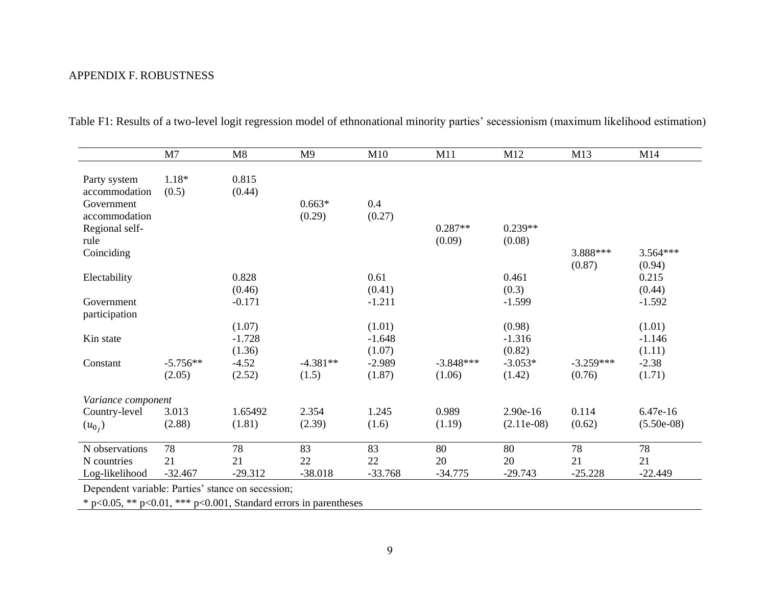### APPENDIX F. ROBUSTNESS

|                               | M7         | M8        | M9         | M10       | M11         | M12          | M13         | M14          |
|-------------------------------|------------|-----------|------------|-----------|-------------|--------------|-------------|--------------|
|                               |            |           |            |           |             |              |             |              |
| Party system<br>accommodation | $1.18*$    | 0.815     |            |           |             |              |             |              |
| Government                    | (0.5)      | (0.44)    | $0.663*$   | 0.4       |             |              |             |              |
| accommodation                 |            |           | (0.29)     | (0.27)    |             |              |             |              |
| Regional self-                |            |           |            |           | $0.287**$   | $0.239**$    |             |              |
| rule                          |            |           |            |           | (0.09)      | (0.08)       |             |              |
| Coinciding                    |            |           |            |           |             |              | 3.888***    | $3.564***$   |
|                               |            |           |            |           |             |              | (0.87)      | (0.94)       |
| Electability                  |            | 0.828     |            | 0.61      |             | 0.461        |             | 0.215        |
|                               |            | (0.46)    |            | (0.41)    |             | (0.3)        |             | (0.44)       |
| Government                    |            | $-0.171$  |            | $-1.211$  |             | $-1.599$     |             | $-1.592$     |
| participation                 |            |           |            |           |             |              |             |              |
|                               |            | (1.07)    |            | (1.01)    |             | (0.98)       |             | (1.01)       |
| Kin state                     |            | $-1.728$  |            | $-1.648$  |             | $-1.316$     |             | $-1.146$     |
|                               |            | (1.36)    |            | (1.07)    |             | (0.82)       |             | (1.11)       |
| Constant                      | $-5.756**$ | $-4.52$   | $-4.381**$ | $-2.989$  | $-3.848***$ | $-3.053*$    | $-3.259***$ | $-2.38$      |
|                               | (2.05)     | (2.52)    | (1.5)      | (1.87)    | (1.06)      | (1.42)       | (0.76)      | (1.71)       |
| Variance component            |            |           |            |           |             |              |             |              |
| Country-level                 | 3.013      | 1.65492   | 2.354      | 1.245     | 0.989       | 2.90e-16     | 0.114       | $6.47e-16$   |
| $(u_{0_i})$                   | (2.88)     | (1.81)    | (2.39)     | (1.6)     | (1.19)      | $(2.11e-08)$ | (0.62)      | $(5.50e-08)$ |
|                               |            |           |            |           |             |              |             |              |
| N observations                | 78         | 78        | 83         | 83        | 80          | 80           | 78          | 78           |
| N countries                   | 21         | 21        | 22         | 22        | 20          | 20           | 21          | 21           |
| Log-likelihood                | $-32.467$  | $-29.312$ | $-38.018$  | $-33.768$ | $-34.775$   | $-29.743$    | $-25.228$   | $-22.449$    |

Table F1: Results of a two-level logit regression model of ethnonational minority parties' secessionism (maximum likelihood estimation)

Dependent variable: Parties' stance on secession;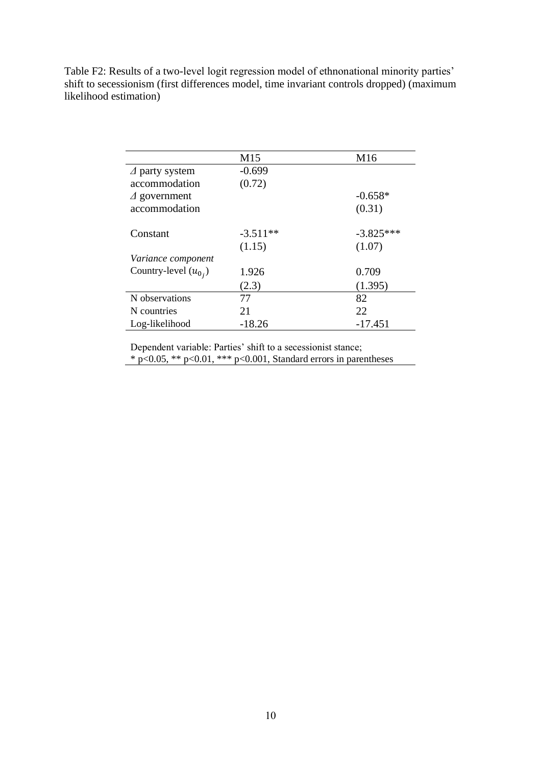Table F2: Results of a two-level logit regression model of ethnonational minority parties' shift to secessionism (first differences model, time invariant controls dropped) (maximum likelihood estimation)

|                           | M <sub>15</sub> | M <sub>16</sub> |
|---------------------------|-----------------|-----------------|
| $\Delta$ party system     | $-0.699$        |                 |
| accommodation             | (0.72)          |                 |
| $\Delta$ government       |                 | $-0.658*$       |
| accommodation             |                 | (0.31)          |
| Constant                  | $-3.511**$      | $-3.825***$     |
|                           | (1.15)          | (1.07)          |
| <i>Variance component</i> |                 |                 |
| Country-level $(u_{0_i})$ | 1.926           | 0.709           |
|                           | (2.3)           | (1.395)         |
| N observations            | 77              | 82              |
| N countries               | 21              | 22              |
| Log-likelihood            | $-18.26$        | $-17.451$       |

Dependent variable: Parties' shift to a secessionist stance;  $*$  p<0.05, \*\* p<0.01, \*\*\* p<0.001, Standard errors in parentheses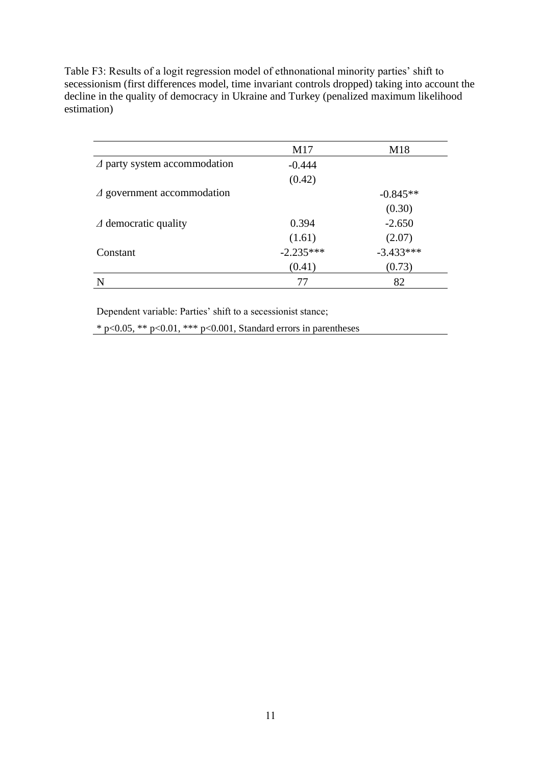Table F3: Results of a logit regression model of ethnonational minority parties' shift to secessionism (first differences model, time invariant controls dropped) taking into account the decline in the quality of democracy in Ukraine and Turkey (penalized maximum likelihood estimation)

|                                     | M17         | M18         |
|-------------------------------------|-------------|-------------|
| $\Delta$ party system accommodation | $-0.444$    |             |
|                                     | (0.42)      |             |
| $\Delta$ government accommodation   |             | $-0.845**$  |
|                                     |             | (0.30)      |
| $\Delta$ democratic quality         | 0.394       | $-2.650$    |
|                                     | (1.61)      | (2.07)      |
| Constant                            | $-2.235***$ | $-3.433***$ |
|                                     | (0.41)      | (0.73)      |
|                                     | 77          | 82          |

Dependent variable: Parties' shift to a secessionist stance;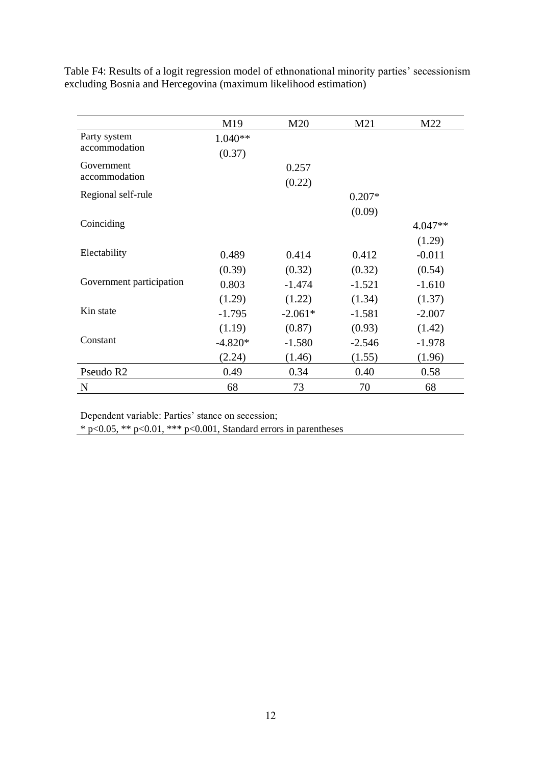|                          | M19       | M20       | M21      | M22       |
|--------------------------|-----------|-----------|----------|-----------|
| Party system             | $1.040**$ |           |          |           |
| accommodation            | (0.37)    |           |          |           |
| Government               |           | 0.257     |          |           |
| accommodation            |           | (0.22)    |          |           |
| Regional self-rule       |           |           | $0.207*$ |           |
|                          |           |           | (0.09)   |           |
| Coinciding               |           |           |          | $4.047**$ |
|                          |           |           |          | (1.29)    |
| Electability             | 0.489     | 0.414     | 0.412    | $-0.011$  |
|                          | (0.39)    | (0.32)    | (0.32)   | (0.54)    |
| Government participation | 0.803     | $-1.474$  | $-1.521$ | $-1.610$  |
|                          | (1.29)    | (1.22)    | (1.34)   | (1.37)    |
| Kin state                | $-1.795$  | $-2.061*$ | $-1.581$ | $-2.007$  |
|                          | (1.19)    | (0.87)    | (0.93)   | (1.42)    |
| Constant                 | $-4.820*$ | $-1.580$  | $-2.546$ | $-1.978$  |
|                          | (2.24)    | (1.46)    | (1.55)   | (1.96)    |
| Pseudo R <sub>2</sub>    | 0.49      | 0.34      | 0.40     | 0.58      |
| N                        | 68        | 73        | 70       | 68        |

Table F4: Results of a logit regression model of ethnonational minority parties' secessionism excluding Bosnia and Hercegovina (maximum likelihood estimation)

Dependent variable: Parties' stance on secession;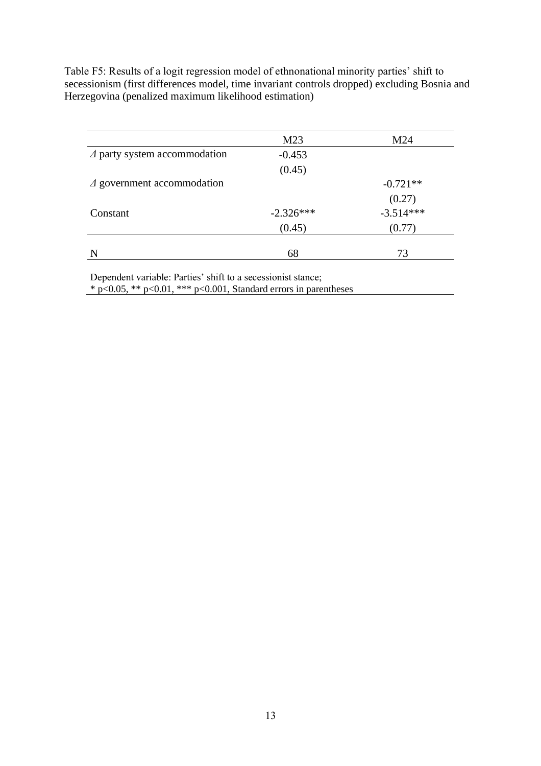Table F5: Results of a logit regression model of ethnonational minority parties' shift to secessionism (first differences model, time invariant controls dropped) excluding Bosnia and Herzegovina (penalized maximum likelihood estimation)

|                                     | M23         | M24                   |
|-------------------------------------|-------------|-----------------------|
| $\Delta$ party system accommodation | $-0.453$    |                       |
|                                     | (0.45)      |                       |
| $\Delta$ government accommodation   |             | $-0.721**$            |
|                                     |             |                       |
| Constant                            | $-2.326***$ | $(0.27)$<br>-3.514*** |
|                                     | (0.45)      | (0.77)                |
| N                                   | 68          | 73                    |

Dependent variable: Parties' shift to a secessionist stance;